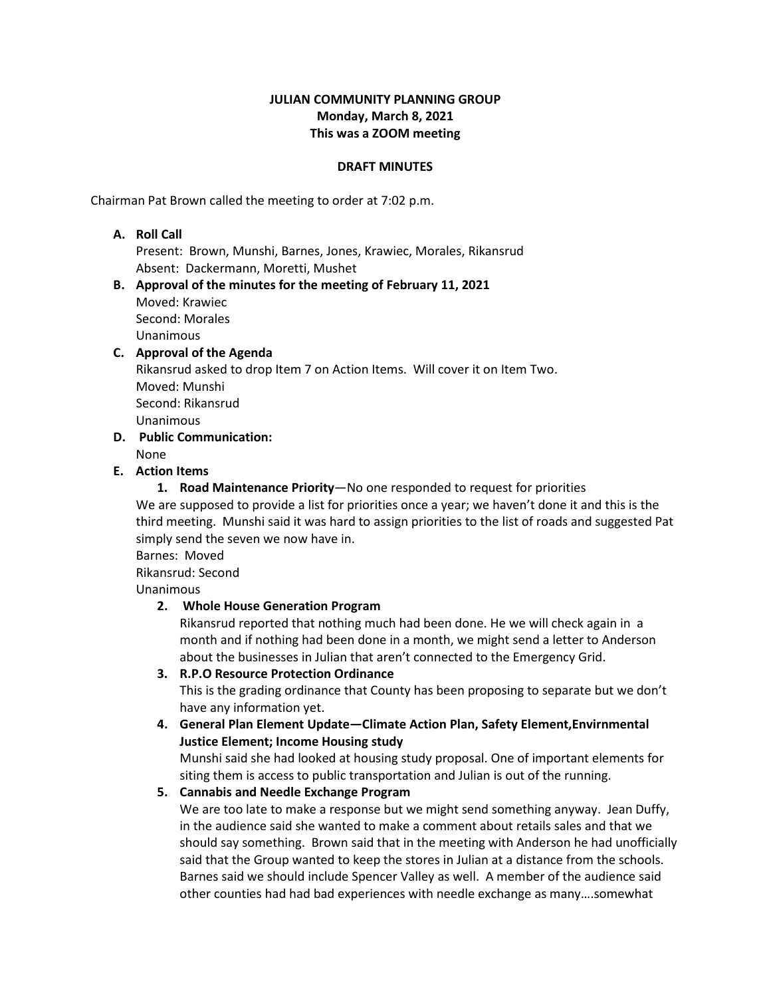### **JULIAN COMMUNITY PLANNING GROUP Monday, March 8, 2021 This was a ZOOM meeting**

#### **DRAFT MINUTES**

Chairman Pat Brown called the meeting to order at 7:02 p.m.

#### **A. Roll Call**

Present: Brown, Munshi, Barnes, Jones, Krawiec, Morales, Rikansrud Absent: Dackermann, Moretti, Mushet

#### **B. Approval of the minutes for the meeting of February 11, 2021** Moved: Krawiec Second: Morales Unanimous

# **C. Approval of the Agenda** Rikansrud asked to drop Item 7 on Action Items. Will cover it on Item Two. Moved: Munshi Second: Rikansrud Unanimous

- **D. Public Communication:**
	- None
- **E. Action Items**

**1. Road Maintenance Priority**—No one responded to request for priorities We are supposed to provide a list for priorities once a year; we haven't done it and this is the third meeting. Munshi said it was hard to assign priorities to the list of roads and suggested Pat simply send the seven we now have in.

Barnes: Moved

Rikansrud: Second

Unanimous

# **2. Whole House Generation Program**

Rikansrud reported that nothing much had been done. He we will check again in a month and if nothing had been done in a month, we might send a letter to Anderson about the businesses in Julian that aren't connected to the Emergency Grid.

# **3. R.P.O Resource Protection Ordinance**

This is the grading ordinance that County has been proposing to separate but we don't have any information yet.

**4. General Plan Element Update—Climate Action Plan, Safety Element,Envirnmental Justice Element; Income Housing study**

Munshi said she had looked at housing study proposal. One of important elements for siting them is access to public transportation and Julian is out of the running.

# **5. Cannabis and Needle Exchange Program**

We are too late to make a response but we might send something anyway. Jean Duffy, in the audience said she wanted to make a comment about retails sales and that we should say something. Brown said that in the meeting with Anderson he had unofficially said that the Group wanted to keep the stores in Julian at a distance from the schools. Barnes said we should include Spencer Valley as well. A member of the audience said other counties had had bad experiences with needle exchange as many….somewhat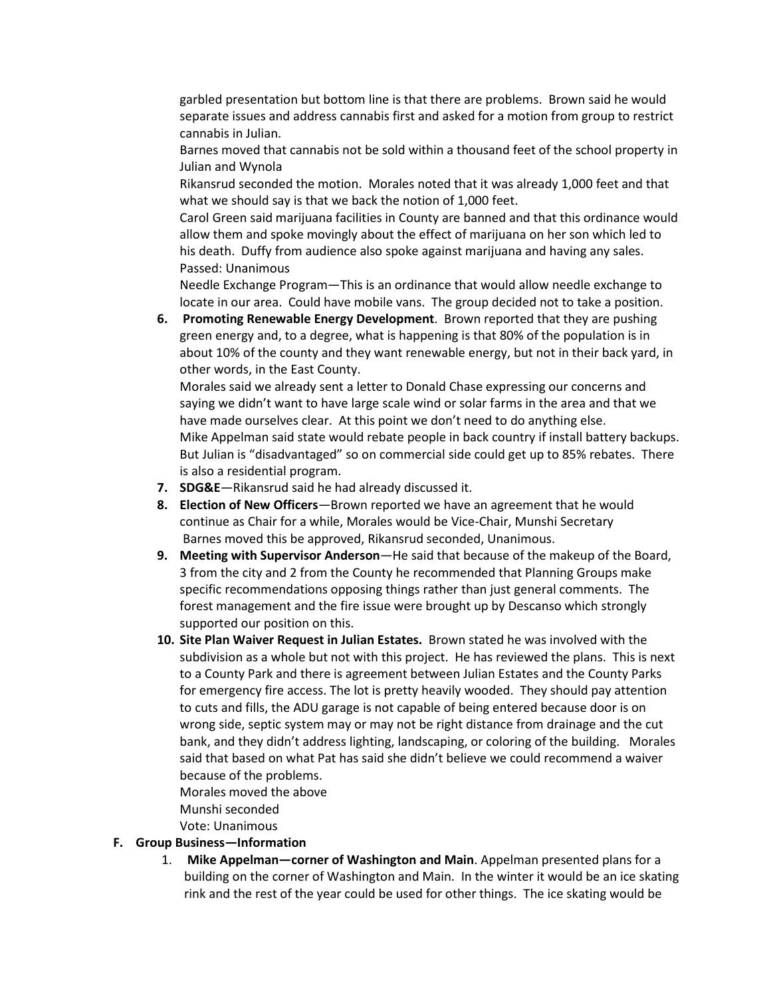garbled presentation but bottom line is that there are problems. Brown said he would separate issues and address cannabis first and asked for a motion from group to restrict cannabis in Julian.

Barnes moved that cannabis not be sold within a thousand feet of the school property in Julian and Wynola

Rikansrud seconded the motion. Morales noted that it was already 1,000 feet and that what we should say is that we back the notion of 1,000 feet.

Carol Green said marijuana facilities in County are banned and that this ordinance would allow them and spoke movingly about the effect of marijuana on her son which led to his death. Duffy from audience also spoke against marijuana and having any sales. Passed: Unanimous

Needle Exchange Program—This is an ordinance that would allow needle exchange to locate in our area. Could have mobile vans. The group decided not to take a position.

**6. Promoting Renewable Energy Development**. Brown reported that they are pushing green energy and, to a degree, what is happening is that 80% of the population is in about 10% of the county and they want renewable energy, but not in their back yard, in other words, in the East County.

Morales said we already sent a letter to Donald Chase expressing our concerns and saying we didn't want to have large scale wind or solar farms in the area and that we have made ourselves clear. At this point we don't need to do anything else. Mike Appelman said state would rebate people in back country if install battery backups. But Julian is "disadvantaged" so on commercial side could get up to 85% rebates. There is also a residential program.

- **7. SDG&E**—Rikansrud said he had already discussed it.
- **8. Election of New Officers**—Brown reported we have an agreement that he would continue as Chair for a while, Morales would be Vice-Chair, Munshi Secretary Barnes moved this be approved, Rikansrud seconded, Unanimous.
- **9. Meeting with Supervisor Anderson**—He said that because of the makeup of the Board, 3 from the city and 2 from the County he recommended that Planning Groups make specific recommendations opposing things rather than just general comments. The forest management and the fire issue were brought up by Descanso which strongly supported our position on this.
- **10. Site Plan Waiver Request in Julian Estates.** Brown stated he was involved with the subdivision as a whole but not with this project. He has reviewed the plans. This is next to a County Park and there is agreement between Julian Estates and the County Parks for emergency fire access. The lot is pretty heavily wooded. They should pay attention to cuts and fills, the ADU garage is not capable of being entered because door is on wrong side, septic system may or may not be right distance from drainage and the cut bank, and they didn't address lighting, landscaping, or coloring of the building. Morales said that based on what Pat has said she didn't believe we could recommend a waiver because of the problems.

Morales moved the above Munshi seconded Vote: Unanimous

#### **F. Group Business—Information**

1. **Mike Appelman—corner of Washington and Main**. Appelman presented plans for a building on the corner of Washington and Main. In the winter it would be an ice skating rink and the rest of the year could be used for other things. The ice skating would be